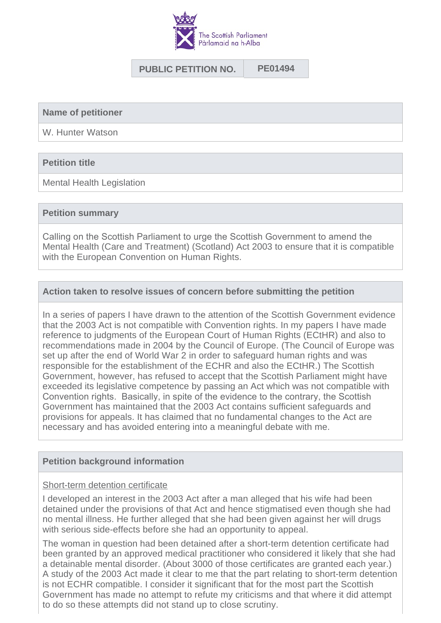

## **PUBLIC PETITION NO. PE01494**

**Name of petitioner**

W. Hunter Watson

### **Petition title**

Mental Health Legislation

#### **Petition summary**

Calling on the Scottish Parliament to urge the Scottish Government to amend the Mental Health (Care and Treatment) (Scotland) Act 2003 to ensure that it is compatible with the European Convention on Human Rights.

### **Action taken to resolve issues of concern before submitting the petition**

In a series of papers I have drawn to the attention of the Scottish Government evidence that the 2003 Act is not compatible with Convention rights. In my papers I have made reference to judgments of the European Court of Human Rights (ECtHR) and also to recommendations made in 2004 by the Council of Europe. (The Council of Europe was set up after the end of World War 2 in order to safeguard human rights and was responsible for the establishment of the ECHR and also the ECtHR.) The Scottish Government, however, has refused to accept that the Scottish Parliament might have exceeded its legislative competence by passing an Act which was not compatible with Convention rights. Basically, in spite of the evidence to the contrary, the Scottish Government has maintained that the 2003 Act contains sufficient safeguards and provisions for appeals. It has claimed that no fundamental changes to the Act are necessary and has avoided entering into a meaningful debate with me.

### **Petition background information**

### Short-term detention certificate

I developed an interest in the 2003 Act after a man alleged that his wife had been detained under the provisions of that Act and hence stigmatised even though she had no mental illness. He further alleged that she had been given against her will drugs with serious side-effects before she had an opportunity to appeal.

The woman in question had been detained after a short-term detention certificate had been granted by an approved medical practitioner who considered it likely that she had a detainable mental disorder. (About 3000 of those certificates are granted each year.) A study of the 2003 Act made it clear to me that the part relating to short-term detention is not ECHR compatible. I consider it significant that for the most part the Scottish Government has made no attempt to refute my criticisms and that where it did attempt to do so these attempts did not stand up to close scrutiny.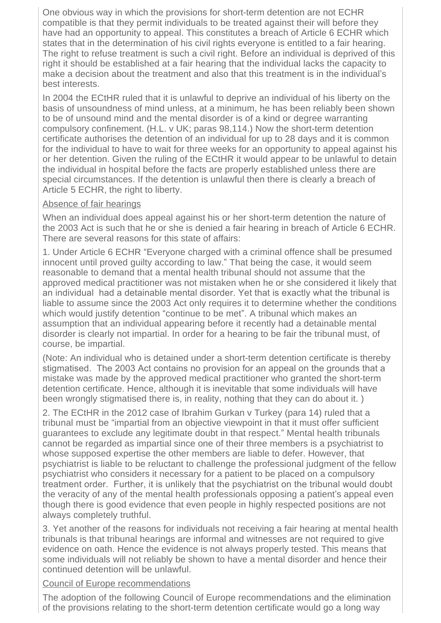One obvious way in which the provisions for short-term detention are not ECHR compatible is that they permit individuals to be treated against their will before they have had an opportunity to appeal. This constitutes a breach of Article 6 ECHR which states that in the determination of his civil rights everyone is entitled to a fair hearing. The right to refuse treatment is such a civil right. Before an individual is deprived of this right it should be established at a fair hearing that the individual lacks the capacity to make a decision about the treatment and also that this treatment is in the individual's best interests.

In 2004 the ECtHR ruled that it is unlawful to deprive an individual of his liberty on the basis of unsoundness of mind unless, at a minimum, he has been reliably been shown to be of unsound mind and the mental disorder is of a kind or degree warranting compulsory confinement. (H.L. v UK; paras 98,114.) Now the short-term detention certificate authorises the detention of an individual for up to 28 days and it is common for the individual to have to wait for three weeks for an opportunity to appeal against his or her detention. Given the ruling of the ECtHR it would appear to be unlawful to detain the individual in hospital before the facts are properly established unless there are special circumstances. If the detention is unlawful then there is clearly a breach of Article 5 ECHR, the right to liberty.

# Absence of fair hearings

When an individual does appeal against his or her short-term detention the nature of the 2003 Act is such that he or she is denied a fair hearing in breach of Article 6 ECHR. There are several reasons for this state of affairs:

1. Under Article 6 ECHR "Everyone charged with a criminal offence shall be presumed innocent until proved guilty according to law." That being the case, it would seem reasonable to demand that a mental health tribunal should not assume that the approved medical practitioner was not mistaken when he or she considered it likely that an individual had a detainable mental disorder. Yet that is exactly what the tribunal is liable to assume since the 2003 Act only requires it to determine whether the conditions which would justify detention "continue to be met". A tribunal which makes an assumption that an individual appearing before it recently had a detainable mental disorder is clearly not impartial. In order for a hearing to be fair the tribunal must, of course, be impartial.

(Note: An individual who is detained under a short-term detention certificate is thereby stigmatised. The 2003 Act contains no provision for an appeal on the grounds that a mistake was made by the approved medical practitioner who granted the short-term detention certificate. Hence, although it is inevitable that some individuals will have been wrongly stigmatised there is, in reality, nothing that they can do about it. )

2. The ECtHR in the 2012 case of Ibrahim Gurkan v Turkey (para 14) ruled that a tribunal must be "impartial from an objective viewpoint in that it must offer sufficient guarantees to exclude any legitimate doubt in that respect." Mental health tribunals cannot be regarded as impartial since one of their three members is a psychiatrist to whose supposed expertise the other members are liable to defer. However, that psychiatrist is liable to be reluctant to challenge the professional judgment of the fellow psychiatrist who considers it necessary for a patient to be placed on a compulsory treatment order. Further, it is unlikely that the psychiatrist on the tribunal would doubt the veracity of any of the mental health professionals opposing a patient's appeal even though there is good evidence that even people in highly respected positions are not always completely truthful.

3. Yet another of the reasons for individuals not receiving a fair hearing at mental health tribunals is that tribunal hearings are informal and witnesses are not required to give evidence on oath. Hence the evidence is not always properly tested. This means that some individuals will not reliably be shown to have a mental disorder and hence their continued detention will be unlawful.

# Council of Europe recommendations

The adoption of the following Council of Europe recommendations and the elimination of the provisions relating to the short-term detention certificate would go a long way